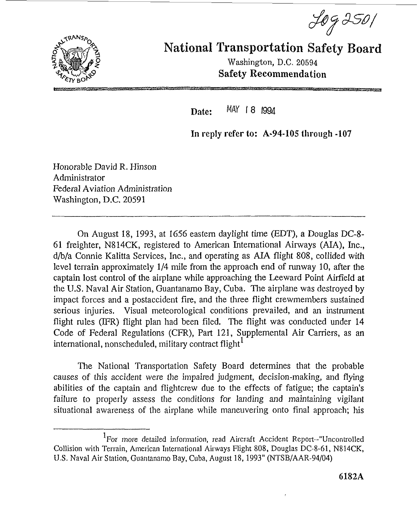



National Transportation Safety **Board** 

Washington, D.C. 20594 Safety Recommendation

**Date:** MAY 18 1994

**In** reply refer **to: A-94-105 through -107** 

Honorable David R. Hinson Administrator Federal Aviation Administration Washington, D.C. 20591

On August 18, 1993, at 1656 eastern daylight time (EDT), a Douglas DC-8- 61 freighter, N8 14CK, registered to American International Airways **(AM),** hc., d/b/a Connie Kalitta Services, Inc., and operating as ALA flight 808, collided with level terrain approximately 1/4 mile from the approach end of runway 10, after the captain lost control of the airplane while approaching the Leeward Point Airfield at the tJ.S. Naval Air Station, Guantanamo Bay, Cuba. The airplane was destroyed by impact forces and a postaccident **fire,** and the three flight crewmembers sustained serious injuries. Visual meteorological conditions prevailed, and an instrument flight rules (IFR) flight plan had been filed. The flight was conducted under 14 Code of Federal Regulations (CFR), Part 121, Supplemental Air Carriers, as an international, nonscheduled, military contract flight **<sup>1</sup>**

The National Transportation Safety Board determines that the probable causes of this accident were the impaired judgment, decision-making, and flying abilities of the captain and flightcrew due to the effects of fatigue; the captain's failure to properly assess the conditions for landing and maintaining vigilant situational awareness of the airplane while maneuvering onto final approach; his

<sup>&</sup>lt;sup>1</sup>For more detailed information, read Aircraft Accident Report--"Uncontrolled Collision with Terrain, American International Airways Flight 808, Douglas DC-8-61, N814CK, U.S. Naval Air Station, Guantanamo Bay, Cuba, August 18, 1993" (NTSB/AAR-94/04)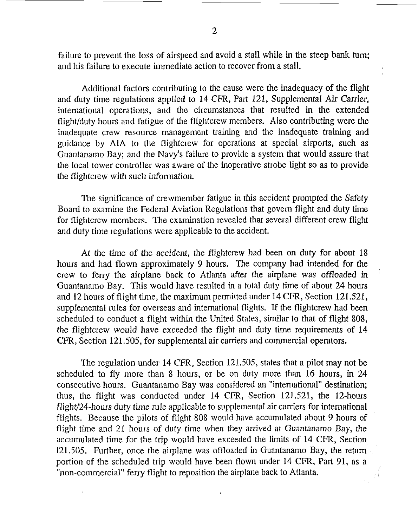failure to prevent the loss of airspeed and avoid a stall while in the steep bank **turn;**  and his failure to execute immediate action to recover from a stall.

Additional factors contributing to the cause were the inadequacy of the flight and duty time regulations applied to 14 CFR, Part 121, Supplemental **Air** Carrier, international operations, and the circumstances that resulted in the extended flight/duty hours and fatigue of the flightcrew members. Also contributing were the inadequate crew resource management training and the inadequate training and guidance by AJA to the flightcrew for operations at special airports, such as Guantanamo Bay; and the Navy's failure to provide a system that would assure that the local tower controller was aware of the inoperative strobe light so as to provide the flightcrew with such information.

The significance of crewmember fatigue in this accident prompted the Safety Board to examine the Federal Aviation Regulations that govern flight and duty time for flightcrew members. The examination revealed that several different crew flight and duty time regulations were applicable to the accident.

**At** the time of the accident, the flightcrew had been on duty for about 18 hours and had flown approximately 9 hours. The company had intended for the crew to ferry the airpIane back to Atlanta after the airplane was offloaded *in*  Guantanamo Bay. This would have resulted in a total duty time of about 24 hours and 12 hours of flight time, the maximum permitted under 14 CFR, Section 121.521, supplemental rules for overseas and international flights. If the flightcrew had been scheduled to conduct a flight within the United States, similar to that of flight 808, the flightcrew would have exceeded the flight and duty time requirements of 14 CFR, Section 121.505, for supplemental air carriers and commercial operators.

The regulation under 14 CFR, Section 121.505, states that a pilot may not be scheduled to fly more than 8 hours, or be on duty more than **16** hours, in 24 consecutive hours. Guantanamo Bay was considered an "international" destination; thus, the flight was conducted under 14 CFR, Section 121.521, the 12-hours flight/24-hours duty time rule applicable to supplernerital air carriers for international flights. Because the pilots of flight 808 would have accumulated about 9 hours of flight time and 21 hours of duty time when they arrived at Guantanamo Bay, the accumulated time for the trip would have exceeded the limits of 14 CFR, Section 121.505. Further, once the airplane was offloaded **in** Guantanamo Bay, the return portion of the scheduled trip would have been flown under 14 CFR, Part 91, as a "non-commercial" ferry flight to reposition the airplane back to Atlanta.

 $\mathbf{r}$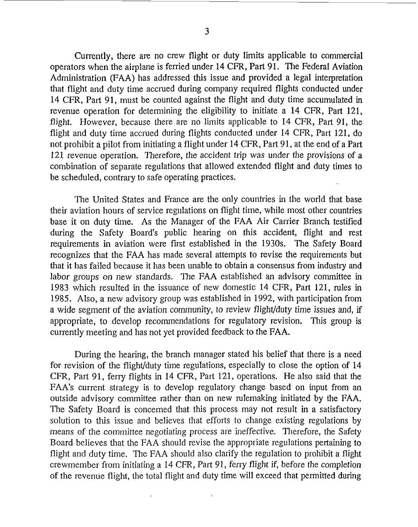Currently, there are no crew flight or duty limits applicable to commercial operators when the airplane is ferried under 14 CFR, Part 91. The Federal Aviation Administration FAA) has addressed this issue and provided a legal interpretation that flight and duty time accrued during company required flights conducted under 14 CFR, Part 91, must be counted against the flight and duty time accumulated in revenue operation for determining the eligibility to initiate a 14 CFR, Part 121, flight. However, because there are no limits applicable to 14 CFR, Part 91, the flight and duty time accrued during flights conducted under 14 CFR, Part 121, do

not prohibit a pilot from initiating a flight under 14 CFR, Part 91, at the end of a Part 121 revenue operation. Therefore, the accident trip was under the provisions of a combination of separate regulations that allowed extended flight and duty times to be scheduled, contrary to safe operating practices.

The United States and France are the only countries in the world that base their aviation hours of service regulations on flight time, while most other countries base it on duly time. **As** the Manager of the **FAA** Air Carrier Branch testified during the Safety Board's public hearing on this accident, flight and rest requirements in aviation were fist established in the 1930s. The Safety Board recognizes that the FAA has made several attempts to revise the requirements but that it has failed because it has been unable to obtain a consensus from industry and labor groups on new standards. The **FAA** established an advisory committee in 1983 which resulted in the issuance of new domestic 14 CFR, Part 121, rules in 1985. Also, a new advisory group was established in 1992, with participation from a wide segment of the aviation community, to review flight/duty time issues and, if appropriate, to develop recommendations for regulatory revision. This group is currently meeting and has not yet provided feedback to the FAA.

During the hearing, the branch manager stated his belief that there is a need for revision of the flight/duty time regulations, especially to close the option of 14 CFR, Part 91, ferry flights in 14 CFR, Part 121, operations. He also said that the FAA's current strategy is to develop regulatory change based on input from **an**  outside advisory committee rather than on new rulemaking initiated by the FAA. The Safety Board is concerned that this process may not result in a satisfactory solution to this issue and believes that efforts to change existing regulations by means of the committee negotiating process are ineffective. Therefore, the Safety Board believes that the **FAA** should revise the appropriate regulations pertaining to flight and duty time. The **FAA** should also clarify the regulation to prohibit a flight crewmember from initiating a 14 CFR, Part 91, ferry flight if, before the completion of the revenue flight, the total flight and duty time will exceed that permitted during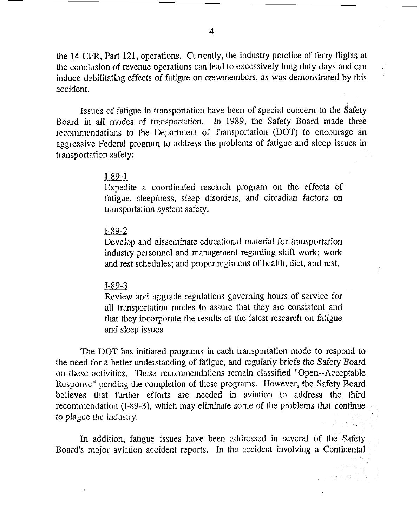the 14 **CFR,** Part 121, operations. Currently, the industry practice of feny flights at the conclusion of revenue operations can lead to excessively long duty days and can induce debilitating effects of fatigue on crewmembers, as was demonstrated by this accident.

Issues of fatigue in transportation have been of special concern to the Safety Board in all modes of transportation. In 1989, the Safety Board made three recommendations to the Department of Transportation (DOT) to encourage **an**  aggressive Federal program to address the problems of fatigue and sleep issues in transportation safety:

### I-89-1

Expedite a coordinated research program on the effects of fatigue, sleepiness, sleep disorders, and circadian factors on transportation system safety.

### I-89-2

Develop and disseminate educational material for transportation industry personnel and management regarding shift work; work and rest schedules; and proper regimens of health, diet, and rest.

#### $I-89-3$

Review and upgrade regulations governing hours of service for all transportation modes to assure that they are consistent and that they incorporate the results of the latest research on fatigue and sleep issues

The DOT has initiated programs in each transportation mode to respond to the need for a better understanding of fatigue, and regularly briefs the Safety Board on these activities. These recommendations remain classified "Open--Acceptable Response" pending the completion of these programs. However, the Safety Board believes that further efforts are needed in aviation to address the third recommendation (I-89-3), which may eliminate some of the problems that continue to plague the *industry*.

In addition, fatigue issues have been addressed in several of the Safety Board's major aviation accident reports. In the accident involving a Continental

> + 加速電站 み 2. 出现的复数

**4**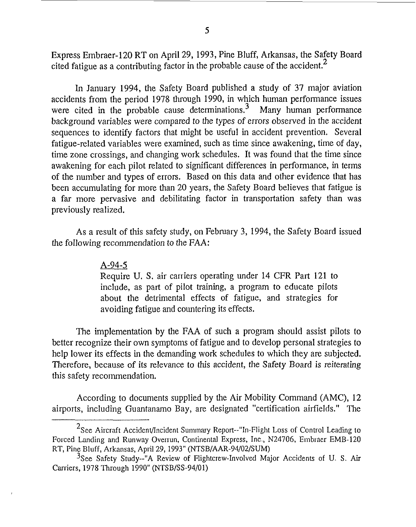Express Embraer-120 RT on April 29, 1993, Pine Bluff, Arkansas, the Safety Board cited fatigue as a contributing factor in the probable cause of the accident.<sup>2</sup>

In January 1994, the Safety Board published a study of 37 major aviation accidents from the period 1978 through 1990, in which human performance issues were cited in the probable cause determinations.<sup>3</sup> Many human performance background variables were compared to the types of errors observed in the accident sequences to identify factors that might be useful in accident prevention. Several fatigue-related variables were examined, such as time since awakening, time of day, time zone crossings, and changing work schedules. It was found that the time since awakening for each pilot related to significant differences in performance, in term of the number and types of errors. Based on this data and other evidence that has been accumulating for more than 20 years, the Safety Board believes that fatigue is a far more pervasive and debilitating factor in transportation safety than was previously realized.

As a result of this safety study, on February 3, 1994, the Safety Board issued the following recornmendation to the FAA:

## A-94-5

Require U. S. air carriers operating under 14 CFR Part 121 to include, as part of pilot training, a program to educate piIots about the detrimental effects of fatigue, and strategies for avoiding fatigue and countering its effects.

The implementation by the FAA of such a program should assist pilots to better recognize their own symptoms of fatigue and to develop personal strategies to help lower its effects in the demanding work schedules to which they are subjected. Therefore, because of its relevance to this accident, the Safety Board is reiterating this safety recommendation.

According to documents supplied by the Air Mobility Command (AMC), 12 airports, including Guantanamo Bay, are designated "certification airfields." The

 $2$ See Aircraft Accident/Incident Summary Report--"In-Flight Loss of Control Leading to Forced Lmding and Runway Overrun, Continental Express, Inc., N24706, Embraer EMB-120 RT, Pine Bluff, Arkansas, April 29,1993" (NTSB/AAR-94/02/SUM)

*<sup>3</sup>See* Safety Study--"A Review of Flightcrew-Involved Major Accidents of U. *S.* Air Carriers, 1978 Through 1990" (NTSB/SS-94/01)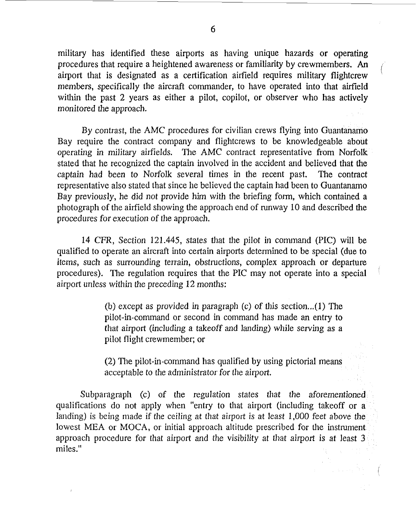military has identified these airports as having unique hazards or operating procedures that require a heightened awareness or familiarity by crewmembers. *An*  airport that is designated as a certification airfield requires military flightcrew members, specifically the aircraft commander, to have operated into that airfield within the past 2 years as either **a** pilot, copilot, or observer who has actively monitored the approach.

 $\int_0^1$ 

By contrast, the AMC procedures for civilian crews flying into Guantanamo Bay require the contract company and flightcrews to be knowledgeable about operating in military airfields. The AMC contract representative from Norfolk stated that he recognized the captain involved in the accident arid believed that the captain had been to Norfolk several times in the recent past. The contract representative also stated that since he believed the captain had been to Guantanamo Bay previously, he did not provide him with the briefing form, which contained a photograph of the airfield showing the approach end of runway 10 and described the procedures for execution of the approach.

14 CFR, Section 121.445, states that the pilot in command (PIC) will be qualified to operate an aircraft into certain airports determined to be special (due to items, such as surrounding terrain, obstructions, complex approach or departure procedures). The regulation requires that the PIC may not operate into a special airport unless within the preceding 12 months:

> (b) except as provided in paragraph (c) of this section ...( **1)** The pilot-in-command or second in command has made **an** entry to that airport (including a takeoff and landing) while serving as a pilot flight crewmember; or

> (2) The pilot-in-command has qualified by using pictorial means acceptable to the administrator for the airport.

Subparagraph (c) of the regulation states that the aforementioned qualifications do not apply when "entry to that airport (including takeoff or a landing) is being made if the ceiling at that airport is at least 1,000 feet above the lowest MEA or MOCA, or initial approach altitude prescribed for the instrument approach procedure for that airport and the visibility at that airport is at least 3 miles."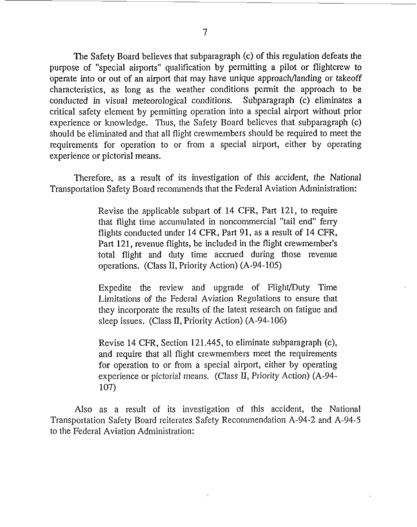The Safety Board believes that subparagraph (c) of this regulation defeats the purpose of "special airports" qualification by permitting a pilot or flightcrew to operate into or out of an airport that may have unique approach/landing or takeoff characteristics, as long as the weather conditions permit the approach to be conducted in visual meteorological conditions. Subparagraph (c) eliminates a critical safety element by permitting operation into a special airport without prior experience or knowledge. Thus, the Safety Board believes that subparagraph (c) should be eliminated and that all flight crewmembers should be required to meet the requirements for operation to or from a special airport, either by operating experience or pictorial means.

Therefore, as a result of its investigation of this accident, the National Transportation Safety Board reconunends that the Federal Aviation Administration:

> Revise the applicable subpart of 14 CFR, Part 121, to require that flight time accumulated in noncommercial "tail end" feny flights conducted under 14 CFR, Part 91, as a result of 14 CFR, Part 121, revenue flights, be included in the flight crewmember's total flight and duty time accrued during those revenue operations. (Class 11, Priority Action) (A-94-105)

> Expedite the review and upgrade of Flight/Duty Time Limitations of the Federal Aviation Regulations to ensure that they incorporate the results of the latest research on fatigue and sleep issues. (Class **II,** Priority Action) (A-94-106)

> Revise 14 CFR, Section 121.445, to eliminate subparagraph (c), and require that all flight crewmembers meet the requirements for operation to or from a special airport, either by operating experience or pictorial means. (Class II, Priority Action) (A-94-107)

Also as a result of its investigation of this accident, the National Transportation Safety Board reiterates Safety Recommendation A-94-2 and A-94-5 to the Federal Aviation Administration: